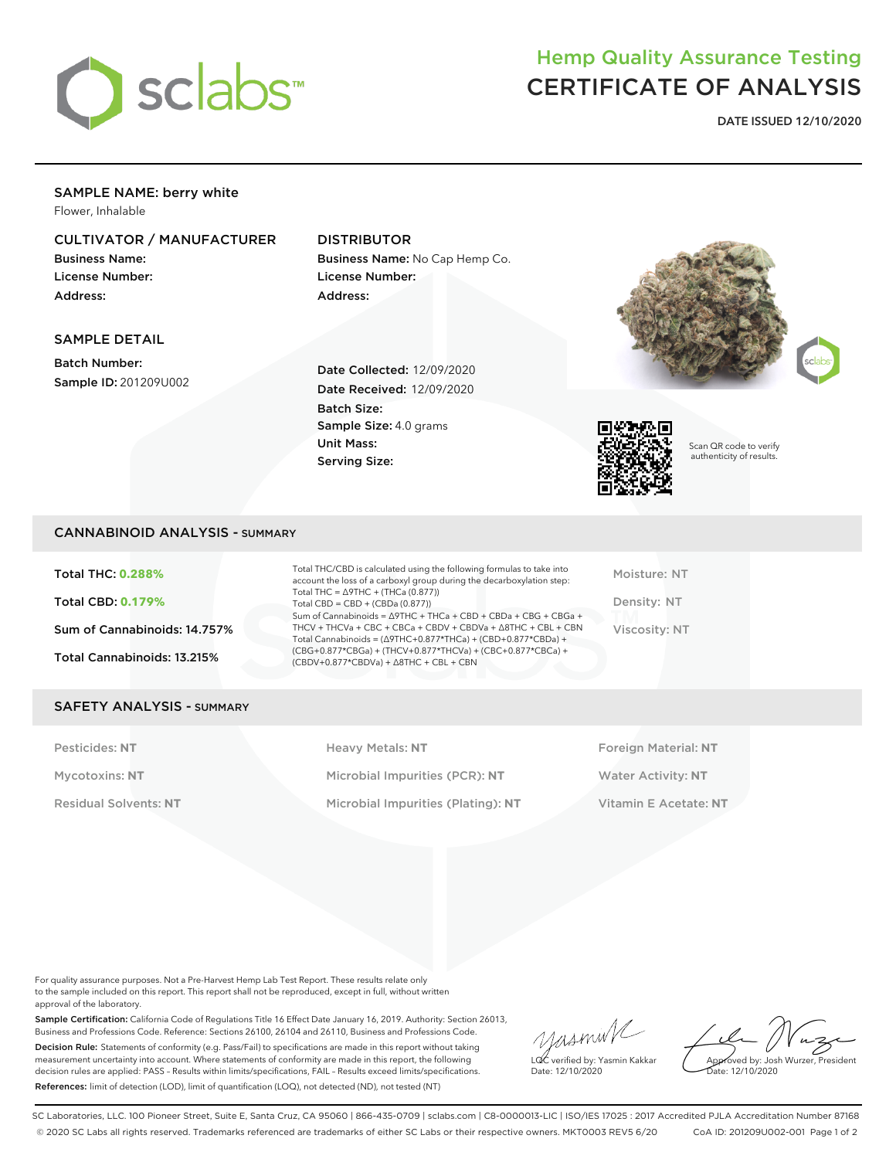

# Hemp Quality Assurance Testing CERTIFICATE OF ANALYSIS

DATE ISSUED 12/10/2020

## SAMPLE NAME: berry white

Flower, Inhalable

### CULTIVATOR / MANUFACTURER

Business Name: License Number: Address:

SAMPLE DETAIL Batch Number:

Sample ID: 201209U002

### DISTRIBUTOR

Batch Size:

Unit Mass: Serving Size:

Business Name: No Cap Hemp Co. License Number: Address:

Date Collected: 12/09/2020 Date Received: 12/09/2020

Sample Size: 4.0 grams





Scan QR code to verify authenticity of results.

#### CANNABINOID ANALYSIS - SUMMARY

Total THC: **0.288%** Total CBD: **0.179%** Sum of Cannabinoids: 14.757% Total Cannabinoids: 13.215%

Total THC/CBD is calculated using the following formulas to take into account the loss of a carboxyl group during the decarboxylation step: Total THC = ∆9THC + (THCa (0.877)) Total  $CBD = CBD + (CBDa (0.877))$ Sum of Cannabinoids = ∆9THC + THCa + CBD + CBDa + CBG + CBGa + THCV + THCVa + CBC + CBCa + CBDV + CBDVa + ∆8THC + CBL + CBN Total Cannabinoids = (∆9THC+0.877\*THCa) + (CBD+0.877\*CBDa) + (CBG+0.877\*CBGa) + (THCV+0.877\*THCVa) + (CBC+0.877\*CBCa) + (CBDV+0.877\*CBDVa) + ∆8THC + CBL + CBN

Moisture: NT Density: NT Viscosity: NT

#### SAFETY ANALYSIS - SUMMARY

Pesticides: **NT** Heavy Metals: **NT** Foreign Material: **NT** Mycotoxins: **NT** Microbial Impurities (PCR): **NT** Water Activity: **NT** Residual Solvents: **NT** Microbial Impurities (Plating): **NT** Vitamin E Acetate: **NT**

For quality assurance purposes. Not a Pre-Harvest Hemp Lab Test Report. These results relate only to the sample included on this report. This report shall not be reproduced, except in full, without written approval of the laboratory.

Sample Certification: California Code of Regulations Title 16 Effect Date January 16, 2019. Authority: Section 26013, Business and Professions Code. Reference: Sections 26100, 26104 and 26110, Business and Professions Code. Decision Rule: Statements of conformity (e.g. Pass/Fail) to specifications are made in this report without taking measurement uncertainty into account. Where statements of conformity are made in this report, the following decision rules are applied: PASS – Results within limits/specifications, FAIL – Results exceed limits/specifications. References: limit of detection (LOD), limit of quantification (LOQ), not detected (ND), not tested (NT)

yusmink LQC verified by: Yasmin Kakkar

Approved by: Josh Wurzer, President Date: 12/10/2020

Date: 12/10/2020

SC Laboratories, LLC. 100 Pioneer Street, Suite E, Santa Cruz, CA 95060 | 866-435-0709 | sclabs.com | C8-0000013-LIC | ISO/IES 17025 : 2017 Accredited PJLA Accreditation Number 87168 © 2020 SC Labs all rights reserved. Trademarks referenced are trademarks of either SC Labs or their respective owners. MKT0003 REV5 6/20 CoA ID: 201209U002-001 Page 1 of 2